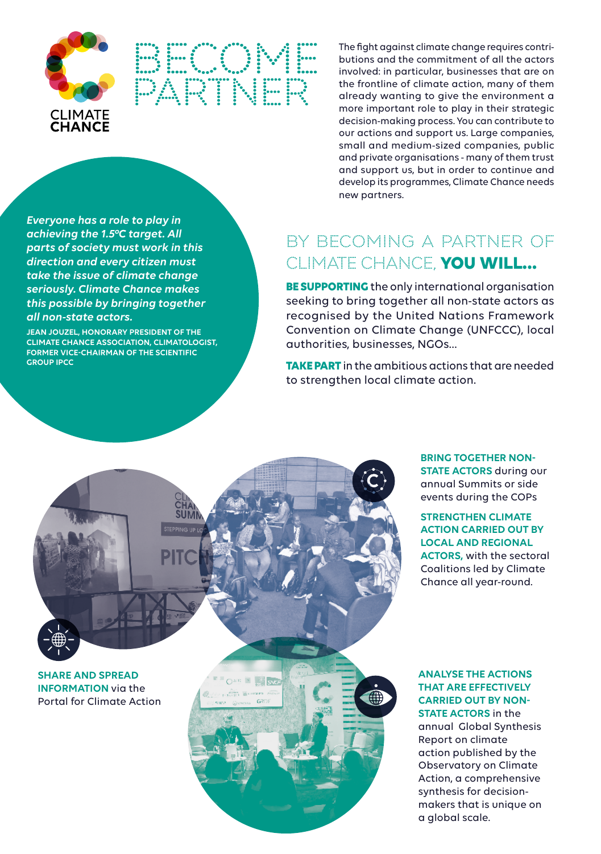

*Everyone has a role to play in achieving the 1.5°C target. All parts of society must work in this direction and every citizen must take the issue of climate change seriously. Climate Chance makes this possible by bringing together* 

**JEAN JOUZEL, HONORARY PRESIDENT OF THE CLIMATE CHANCE ASSOCIATION, CLIMATOLOGIST, FORMER VICE-CHAIRMAN OF THE SCIENTIFIC** 

*all non-state actors.*

**GROUP IPCC**

**BECOME PARTNER**

The fight against climate change requires contributions and the commitment of all the actors involved: in particular, businesses that are on the frontline of climate action, many of them already wanting to give the environment a more important role to play in their strategic decision-making process. You can contribute to our actions and support us. Large companies, small and medium-sized companies, public and private organisations - many of them trust and support us, but in order to continue and develop its programmes, Climate Chance needs new partners.

# **BY BECOMING A PARTNER OF CLIMATE CHANCE, YOU WILL...**

**BE SUPPORTING** the only international organisation seeking to bring together all non-state actors as recognised by the United Nations Framework Convention on Climate Change (UNFCCC), local authorities, businesses, NGOs…

**TAKE PART** in the ambitious actions that are needed to strengthen local climate action.



**BRING TOGETHER NON-STATE ACTORS** during our annual Summits or side events during the COPs

### **STRENGTHEN CLIMATE ACTION CARRIED OUT BY LOCAL AND REGIONAL ACTORS,** with the sectoral Coalitions led by Climate Chance all year-round.

#### **ANALYSE THE ACTIONS THAT ARE EFFECTIVELY CARRIED OUT BY NON-STATE ACTORS** in the

annual Global Synthesis Report on climate action published by the Observatory on Climate Action, a comprehensive synthesis for decisionmakers that is unique on a global scale.